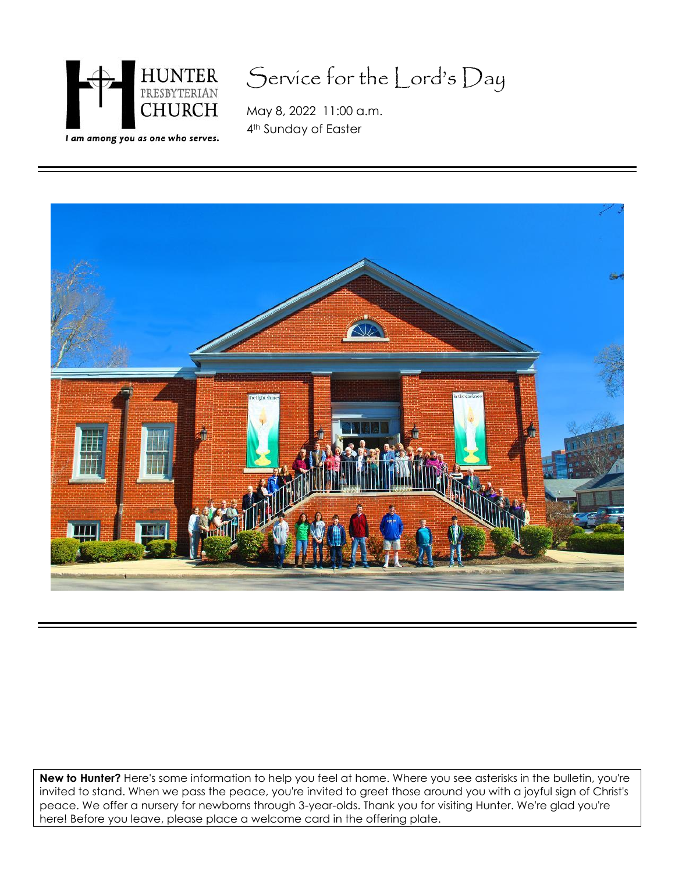

# Service for the Lord's Day

May 8, 2022 11:00 a.m. 4<sup>th</sup> Sunday of Easter



**New to Hunter?** Here's some information to help you feel at home. Where you see asterisks in the bulletin, you're invited to stand. When we pass the peace, you're invited to greet those around you with a joyful sign of Christ's peace. We offer a nursery for newborns through 3-year-olds. Thank you for visiting Hunter. We're glad you're here! Before you leave, please place a welcome card in the offering plate.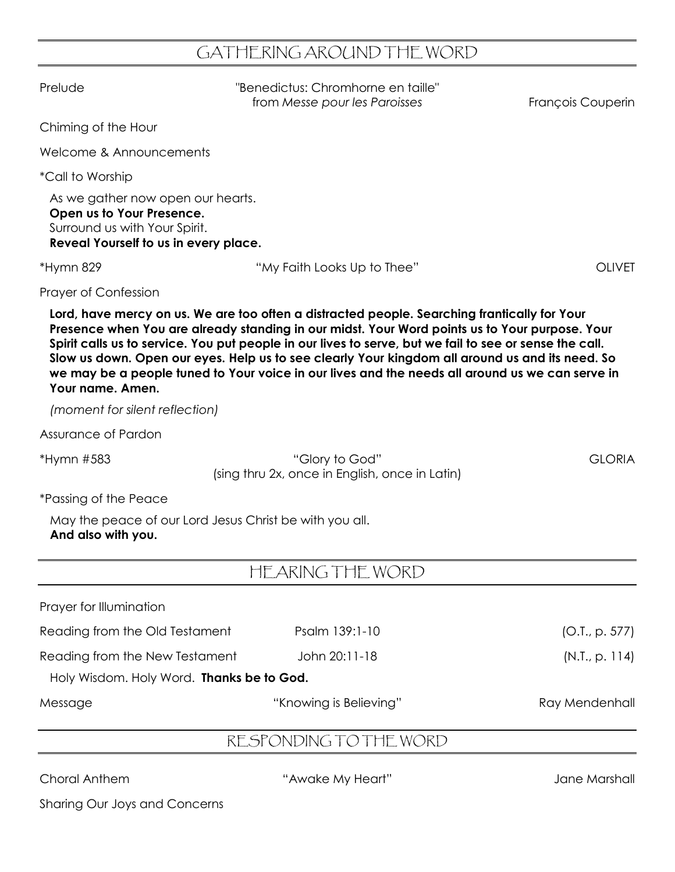## GATHERING AROUND THE WORD

| Prelude                                                                                                                                  | "Benedictus: Chromhorne en taille"<br>from Messe pour les Paroisses                                                                                                                                                                                                                                                                                                                                                                                                                                             | François Couperin |
|------------------------------------------------------------------------------------------------------------------------------------------|-----------------------------------------------------------------------------------------------------------------------------------------------------------------------------------------------------------------------------------------------------------------------------------------------------------------------------------------------------------------------------------------------------------------------------------------------------------------------------------------------------------------|-------------------|
| Chiming of the Hour                                                                                                                      |                                                                                                                                                                                                                                                                                                                                                                                                                                                                                                                 |                   |
| Welcome & Announcements                                                                                                                  |                                                                                                                                                                                                                                                                                                                                                                                                                                                                                                                 |                   |
| <i>*Call to Worship</i>                                                                                                                  |                                                                                                                                                                                                                                                                                                                                                                                                                                                                                                                 |                   |
| As we gather now open our hearts.<br>Open us to Your Presence.<br>Surround us with Your Spirit.<br>Reveal Yourself to us in every place. |                                                                                                                                                                                                                                                                                                                                                                                                                                                                                                                 |                   |
| *Hymn 829                                                                                                                                | "My Faith Looks Up to Thee"                                                                                                                                                                                                                                                                                                                                                                                                                                                                                     | <b>OLIVET</b>     |
| <b>Prayer of Confession</b>                                                                                                              |                                                                                                                                                                                                                                                                                                                                                                                                                                                                                                                 |                   |
| Your name. Amen.                                                                                                                         | Lord, have mercy on us. We are too often a distracted people. Searching frantically for Your<br>Presence when You are already standing in our midst. Your Word points us to Your purpose. Your<br>Spirit calls us to service. You put people in our lives to serve, but we fail to see or sense the call.<br>Slow us down. Open our eyes. Help us to see clearly Your kingdom all around us and its need. So<br>we may be a people tuned to Your voice in our lives and the needs all around us we can serve in |                   |
| (moment for silent reflection)                                                                                                           |                                                                                                                                                                                                                                                                                                                                                                                                                                                                                                                 |                   |
| Assurance of Pardon                                                                                                                      |                                                                                                                                                                                                                                                                                                                                                                                                                                                                                                                 |                   |
| *Hymn #583                                                                                                                               | "Glory to God"<br>(sing thru 2x, once in English, once in Latin)                                                                                                                                                                                                                                                                                                                                                                                                                                                | <b>GLORIA</b>     |
| <i>*Passing of the Peace</i>                                                                                                             |                                                                                                                                                                                                                                                                                                                                                                                                                                                                                                                 |                   |
| May the peace of our Lord Jesus Christ be with you all.<br>And also with you.                                                            |                                                                                                                                                                                                                                                                                                                                                                                                                                                                                                                 |                   |
|                                                                                                                                          | HEARING THE WORD                                                                                                                                                                                                                                                                                                                                                                                                                                                                                                |                   |
| Prayer for Illumination                                                                                                                  |                                                                                                                                                                                                                                                                                                                                                                                                                                                                                                                 |                   |
| Reading from the Old Testament                                                                                                           | Psalm 139:1-10                                                                                                                                                                                                                                                                                                                                                                                                                                                                                                  | (O.I., p. 577)    |
| Reading from the New Testament                                                                                                           | John 20:11-18                                                                                                                                                                                                                                                                                                                                                                                                                                                                                                   | (N.T., p. 114)    |
| Holy Wisdom. Holy Word. Thanks be to God.                                                                                                |                                                                                                                                                                                                                                                                                                                                                                                                                                                                                                                 |                   |
| Message                                                                                                                                  | "Knowing is Believing"                                                                                                                                                                                                                                                                                                                                                                                                                                                                                          | Ray Mendenhall    |

## RESPONDING TO THE WORD

Choral Anthem "Awake My Heart" Jane Marshall

Sharing Our Joys and Concerns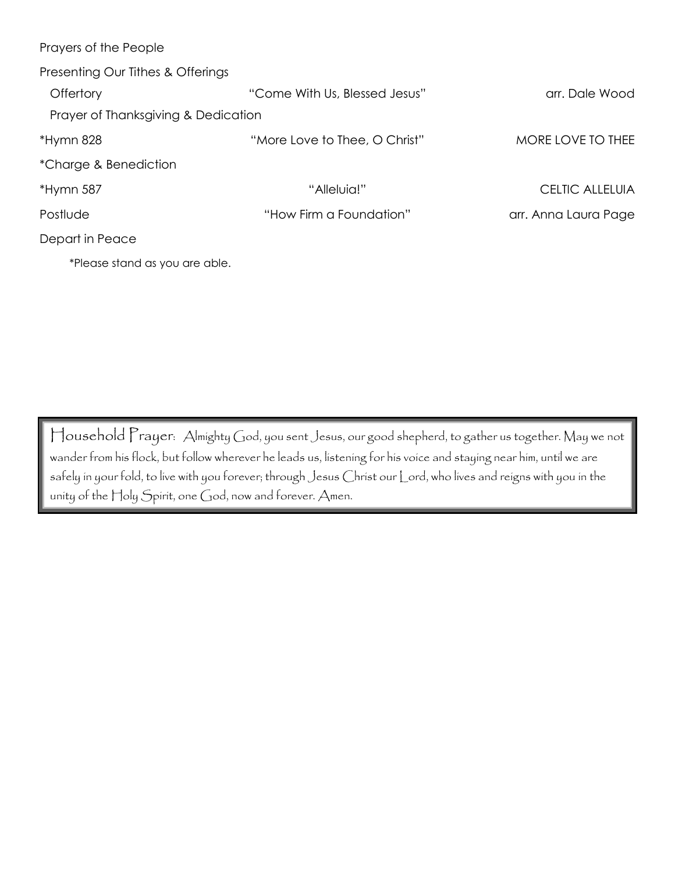| Prayers of the People               |                               |                        |
|-------------------------------------|-------------------------------|------------------------|
| Presenting Our Tithes & Offerings   |                               |                        |
| Offertory                           | "Come With Us, Blessed Jesus" | arr. Dale Wood         |
| Prayer of Thanksgiving & Dedication |                               |                        |
| *Hymn 828                           | "More Love to Thee, O Christ" | MORE LOVE TO THEE      |
| *Charge & Benediction               |                               |                        |
| *Hymn 587                           | "Alleluia!"                   | <b>CELTIC ALLELUIA</b> |
| Postlude                            | "How Firm a Foundation"       | arr. Anna Laura Page   |
| Depart in Peace                     |                               |                        |
| *Please stand as you are able.      |                               |                        |

Household Prayer: Almighty God, you sent Jesus, our good shepherd, to gather us together. May we not wander from his flock, but follow wherever he leads us, listening for his voice and staying near him, until we are safely in your fold, to live with you forever; through Jesus Christ our Lord, who lives and reigns with you in the unity of the Holy Spirit, one God, now and forever. Amen.